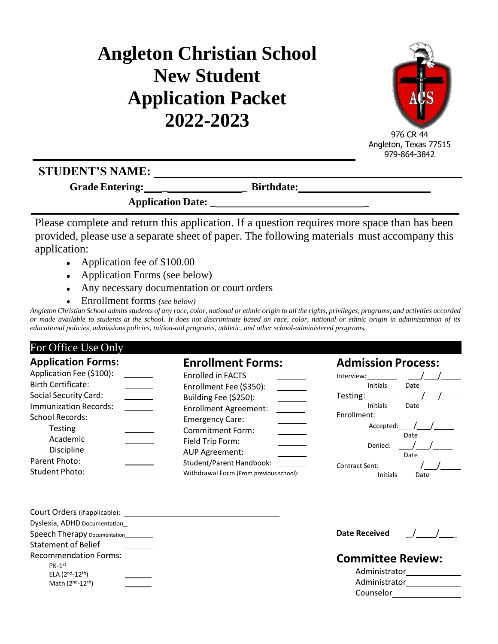# **Angleton Christian School New Student Application Packet 2022-2023**



976 CR 44 Angleton, Texas 77515 979-864-3842

## **STUDENT'S NAME:**

**Grade Entering: \_ \_ Birthdate:**

**Application Date: \_ \_**

Please complete and return this application. If a question requires more space than has been provided, please use a separate sheet of paper. The following materials must accompany this application:

- Application fee of \$100.00
- Application Forms (see below)
- Any necessary documentation or court orders
- Enrollment forms *(see below)*

Angleton Christian School admits students of any race, color, national or ethnic origin to all the rights, privileges, programs, and activities accorded *or made available to students at the school. It does not discriminate based on race, color, national or ethnic origin in administration of its educational policies, admissions policies, tuition-aid programs, athletic, and other school-administered programs.*

| For Office Use Only                                                                                                                                                                                                                                                |                                                                                                                                                                                                                                                                                                            |                                                                                                                                                                                                 |
|--------------------------------------------------------------------------------------------------------------------------------------------------------------------------------------------------------------------------------------------------------------------|------------------------------------------------------------------------------------------------------------------------------------------------------------------------------------------------------------------------------------------------------------------------------------------------------------|-------------------------------------------------------------------------------------------------------------------------------------------------------------------------------------------------|
| <b>Application Forms:</b><br>Application Fee (\$100):<br><b>Birth Certificate:</b><br><b>Social Security Card:</b><br><b>Immunization Records:</b><br><b>School Records:</b><br><b>Testing</b><br>Academic<br>Discipline<br>Parent Photo:<br><b>Student Photo:</b> | <b>Enrollment Forms:</b><br><b>Enrolled in FACTS</b><br>Enrollment Fee (\$350):<br>Building Fee (\$250):<br><b>Enrollment Agreement:</b><br><b>Emergency Care:</b><br><b>Commitment Form:</b><br>Field Trip Form:<br>AUP Agreement:<br>Student/Parent Handbook:<br>Withdrawal Form (From previous school): | <b>Admission Process:</b><br>Interview:<br>Initials<br>Date<br>Testing:<br>Initials<br>Date<br>Enrollment:<br>Accepted:<br>Date<br>Denied:<br>Date<br>Contract Sent:<br><b>Initials</b><br>Date |
| Dyslexia, ADHD Documentation<br>Speech Therapy Documentation________<br><b>Statement of Belief</b><br><b>Recommendation Forms:</b><br>$PK-1st$<br>ELA $(2^{nd} - 12^{th})$<br>Math (2nd-12th)                                                                      |                                                                                                                                                                                                                                                                                                            | <b>Date Received</b><br><b>Committee Review:</b><br>Administrator<br>Administrator<br>Counselor                                                                                                 |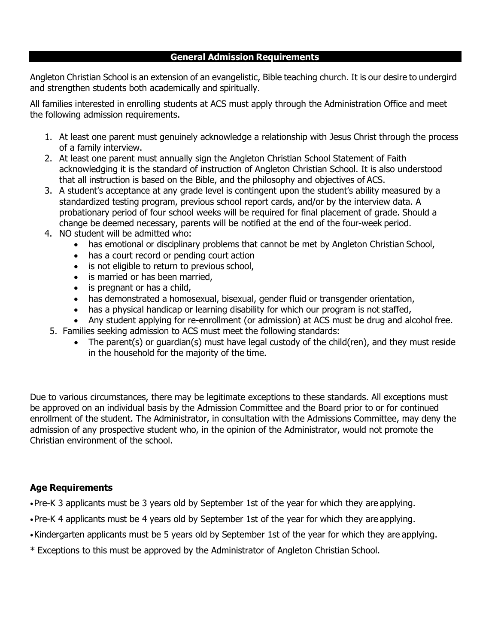#### **General Admission Requirements**

Angleton Christian School is an extension of an evangelistic, Bible teaching church. It is our desire to undergird and strengthen students both academically and spiritually.

All families interested in enrolling students at ACS must apply through the Administration Office and meet the following admission requirements.

- 1. At least one parent must genuinely acknowledge a relationship with Jesus Christ through the process of a family interview.
- 2. At least one parent must annually sign the Angleton Christian School Statement of Faith acknowledging it is the standard of instruction of Angleton Christian School. It is also understood that all instruction is based on the Bible, and the philosophy and objectives of ACS.
- 3. A student's acceptance at any grade level is contingent upon the student's ability measured by a standardized testing program, previous school report cards, and/or by the interview data. A probationary period of four school weeks will be required for final placement of grade. Should a change be deemed necessary, parents will be notified at the end of the four-week period.
- 4. NO student will be admitted who:
	- has emotional or disciplinary problems that cannot be met by Angleton Christian School,
	- has a court record or pending court action
	- is not eligible to return to previous school,
	- is married or has been married,
	- is pregnant or has a child,
	- has demonstrated a homosexual, bisexual, gender fluid or transgender orientation,
	- has a physical handicap or learning disability for which our program is not staffed,
- Any student applying for re-enrollment (or admission) at ACS must be drug and alcohol free. 5. Families seeking admission to ACS must meet the following standards:
	- The parent(s) or guardian(s) must have legal custody of the child(ren), and they must reside in the household for the majority of the time.

Due to various circumstances, there may be legitimate exceptions to these standards. All exceptions must be approved on an individual basis by the Admission Committee and the Board prior to or for continued enrollment of the student. The Administrator, in consultation with the Admissions Committee, may deny the admission of any prospective student who, in the opinion of the Administrator, would not promote the Christian environment of the school.

#### **Age Requirements**

•Pre-K 3 applicants must be 3 years old by September 1st of the year for which they are applying.

- •Pre-K 4 applicants must be 4 years old by September 1st of the year for which they are applying.
- •Kindergarten applicants must be 5 years old by September 1st of the year for which they are applying.
- \* Exceptions to this must be approved by the Administrator of Angleton Christian School.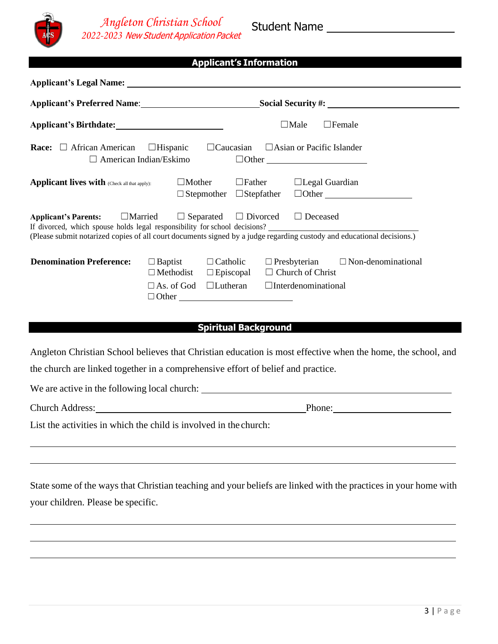

*Angleton Christian School 2022-2023* New Student Application Packet

#### **Applicant's Information**

|                                                                                                                                                                                                                       |                                                            |                                                        |                                                                   | Applicant's Preferred Name: Social Security #: |
|-----------------------------------------------------------------------------------------------------------------------------------------------------------------------------------------------------------------------|------------------------------------------------------------|--------------------------------------------------------|-------------------------------------------------------------------|------------------------------------------------|
|                                                                                                                                                                                                                       |                                                            |                                                        | $\square$ Male                                                    | $\Box$ Female                                  |
| <b>Race:</b> $\Box$ African American                                                                                                                                                                                  | $\Box$ Hispanic<br>American Indian/Eskimo                  |                                                        | $\Box$ Caucasian $\Box$ Asian or Pacific Islander<br>$\Box$ Other |                                                |
| <b>Applicant lives with (Check all that apply):</b>                                                                                                                                                                   | $\Box$ Mother                                              | $\Box$ Father<br>$\Box$ Stepmother $\Box$ Stepfather   | $\Box$ Legal Guardian                                             | $\Box$ Other $\Box$                            |
| <b>Applicant's Parents:</b> $\Box$ Married $\Box$ Separated $\Box$ Divorced $\Box$ Deceased<br>(Please submit notarized copies of all court documents signed by a judge regarding custody and educational decisions.) |                                                            |                                                        |                                                                   |                                                |
| <b>Denomination Preference:</b>                                                                                                                                                                                       | $\Box$ Baptist<br>$\Box$ Methodist<br>$\square$ As. of God | $\Box$ Catholic<br>$\Box$ Episcopal<br>$\Box$ Lutheran | $\Box$ Church of Christ<br>$\Box$ Interdenominational             | $\Box$ Presbyterian $\Box$ Non-denominational  |

#### **Spiritual Background**

Angleton Christian School believes that Christian education is most effective when the home, the school, and the church are linked together in a comprehensive effort of belief and practice.

We are active in the following local church:

Church Address: Phone:

List the activities in which the child is involved in the church:

State some of the ways that Christian teaching and your beliefs are linked with the practices in your home with your children. Please be specific.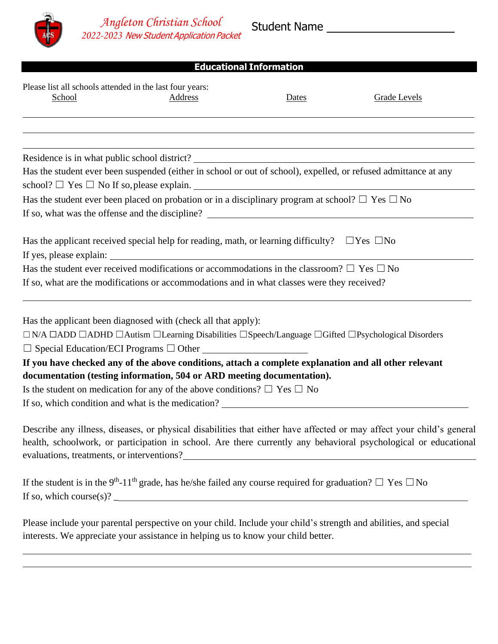

### **Educational Information**

| Please list all schools attended in the last four years:<br>School | <b>Address</b>                                                                                                                                                                                                                        | Dates | <b>Grade Levels</b>                                                                                                                                                                                                                      |
|--------------------------------------------------------------------|---------------------------------------------------------------------------------------------------------------------------------------------------------------------------------------------------------------------------------------|-------|------------------------------------------------------------------------------------------------------------------------------------------------------------------------------------------------------------------------------------------|
|                                                                    |                                                                                                                                                                                                                                       |       |                                                                                                                                                                                                                                          |
|                                                                    | Residence is in what public school district?<br><u>Letter and</u> the school struct of the school struct of the school struct of the school structure and the school structure of the school structure and the school structure and t |       |                                                                                                                                                                                                                                          |
|                                                                    | Has the student ever been suspended (either in school or out of school), expelled, or refused admittance at any<br>school? $\Box$ Yes $\Box$ No If so, please explain.                                                                |       |                                                                                                                                                                                                                                          |
|                                                                    | Has the student ever been placed on probation or in a disciplinary program at school? $\Box$ Yes $\Box$ No                                                                                                                            |       |                                                                                                                                                                                                                                          |
|                                                                    | Has the applicant received special help for reading, math, or learning difficulty? $\Box$ Yes $\Box$ No<br>If yes, please explain:                                                                                                    |       |                                                                                                                                                                                                                                          |
|                                                                    | Has the student ever received modifications or accommodations in the classroom? $\Box$ Yes $\Box$ No                                                                                                                                  |       |                                                                                                                                                                                                                                          |
|                                                                    | If so, what are the modifications or accommodations and in what classes were they received?                                                                                                                                           |       |                                                                                                                                                                                                                                          |
|                                                                    | Has the applicant been diagnosed with (check all that apply):                                                                                                                                                                         |       |                                                                                                                                                                                                                                          |
|                                                                    | $\Box$ N/A $\Box$ ADD $\Box$ ADHD $\Box$ Autism $\Box$ Learning Disabilities $\Box$ Speech/Language $\Box$ Gifted $\Box$ Psychological Disorders<br>$\Box$ Special Education/ECI Programs $\Box$ Other                                |       |                                                                                                                                                                                                                                          |
|                                                                    | If you have checked any of the above conditions, attach a complete explanation and all other relevant                                                                                                                                 |       |                                                                                                                                                                                                                                          |
|                                                                    | documentation (testing information, 504 or ARD meeting documentation).                                                                                                                                                                |       |                                                                                                                                                                                                                                          |
|                                                                    | Is the student on medication for any of the above conditions? $\Box$ Yes $\Box$ No                                                                                                                                                    |       |                                                                                                                                                                                                                                          |
|                                                                    | If so, which condition and what is the medication?                                                                                                                                                                                    |       |                                                                                                                                                                                                                                          |
|                                                                    |                                                                                                                                                                                                                                       |       | Describe any illness, diseases, or physical disabilities that either have affected or may affect your child's general<br>health, schoolwork, or participation in school. Are there currently any behavioral psychological or educational |
|                                                                    | If the student is in the 9 <sup>th</sup> -11 <sup>th</sup> grade, has he/she failed any course required for graduation? $\Box$ Yes $\Box$ No                                                                                          |       |                                                                                                                                                                                                                                          |

If so, which course(s)?  $\overline{\phantom{a}}$ 

Please include your parental perspective on your child. Include your child's strength and abilities, and special interests. We appreciate your assistance in helping us to know your child better.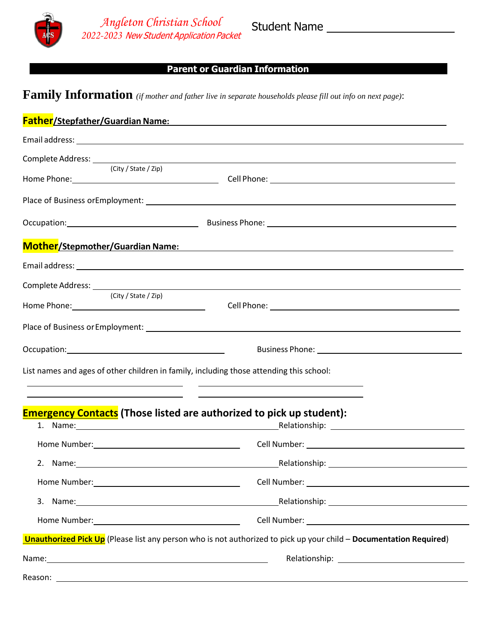

## **Parent or Guardian Information**

**Family Information** *(if mother and father live in separate households please fill out info on next page)*:

|                                                                                                                                                                                                                                | Father/Stepfather/Guardian Name:<br>Father/Stepfather/Guardian Name:                                                                                                                                                           |
|--------------------------------------------------------------------------------------------------------------------------------------------------------------------------------------------------------------------------------|--------------------------------------------------------------------------------------------------------------------------------------------------------------------------------------------------------------------------------|
|                                                                                                                                                                                                                                | Email address: the contract of the contract of the contract of the contract of the contract of the contract of the contract of the contract of the contract of the contract of the contract of the contract of the contract of |
| Complete Address: _____________<br>(City / State / Zip)                                                                                                                                                                        |                                                                                                                                                                                                                                |
|                                                                                                                                                                                                                                |                                                                                                                                                                                                                                |
|                                                                                                                                                                                                                                |                                                                                                                                                                                                                                |
|                                                                                                                                                                                                                                | <b>Mother/</b> Stepmother/Guardian Name:                                                                                                                                                                                       |
|                                                                                                                                                                                                                                |                                                                                                                                                                                                                                |
| (City / State / Zip)                                                                                                                                                                                                           |                                                                                                                                                                                                                                |
|                                                                                                                                                                                                                                |                                                                                                                                                                                                                                |
| Occupation: Decree Contract Contract Contract Contract Contract Contract Contract Contract Contract Contract Contract Contract Contract Contract Contract Contract Contract Contract Contract Contract Contract Contract Contr |                                                                                                                                                                                                                                |
|                                                                                                                                                                                                                                | List names and ages of other children in family, including those attending this school:<br><u> 1990 - Jan James Alexandro III, martxa eta biztanleria (h. 1980).</u>                                                           |
|                                                                                                                                                                                                                                | <b>Emergency Contacts</b> (Those listed are authorized to pick up student):<br>1. Name: 1. Name: 1. Name: 1. Name: 1. Name: 1. Name: 1. Name: 1. Name: 1. Name: 1. Name: 1. Name: 1. Name: 1.                                  |
|                                                                                                                                                                                                                                | Home Number: 1990 March 2010 March 2010 March 2010 Cell Number: 2010 March 2010 March 2010 March 2010 March 20                                                                                                                 |
|                                                                                                                                                                                                                                |                                                                                                                                                                                                                                |
| Home Number:                                                                                                                                                                                                                   | Cell Number:<br><u> 1980 - Jan Samuel Barbara, margaret eta idazlea (h. 1980).</u>                                                                                                                                             |
|                                                                                                                                                                                                                                |                                                                                                                                                                                                                                |
|                                                                                                                                                                                                                                |                                                                                                                                                                                                                                |
|                                                                                                                                                                                                                                | Unauthorized Pick Up (Please list any person who is not authorized to pick up your child - Documentation Required)                                                                                                             |
|                                                                                                                                                                                                                                |                                                                                                                                                                                                                                |
|                                                                                                                                                                                                                                |                                                                                                                                                                                                                                |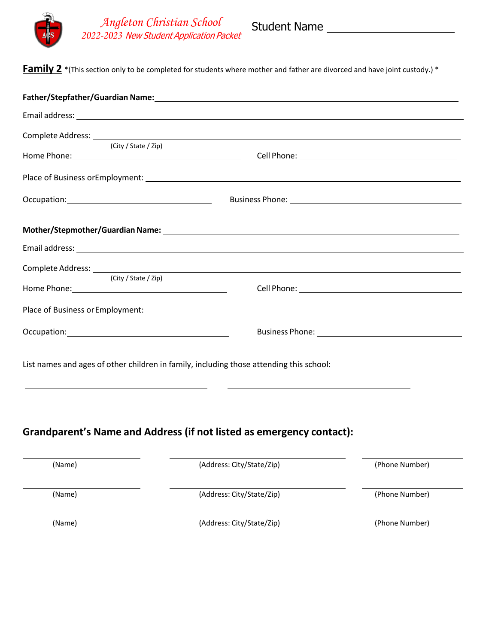

*Angleton Christian School 2022-2023* New Student Application Packet

**Family 2** \*(This section only to be completed for students where mother and father are divorced and have joint custody.) \*

| (City / State / Zip) |                                                                                                                                                                                                                 |                |
|----------------------|-----------------------------------------------------------------------------------------------------------------------------------------------------------------------------------------------------------------|----------------|
|                      |                                                                                                                                                                                                                 |                |
|                      |                                                                                                                                                                                                                 |                |
|                      |                                                                                                                                                                                                                 |                |
|                      |                                                                                                                                                                                                                 |                |
|                      |                                                                                                                                                                                                                 |                |
| (City / State / Zip) |                                                                                                                                                                                                                 |                |
|                      |                                                                                                                                                                                                                 |                |
|                      |                                                                                                                                                                                                                 |                |
|                      | List names and ages of other children in family, including those attending this school:<br><u> 2000 - Andrea Andrea Andrea Andrea Andrea Andrea Andrea Andrea Andrea Andrea Andrea Andrea Andrea Andrea And</u> |                |
|                      | <u> 1989 - Andrea Station Barbara, amerikan personal di sebagai personal di sebagai personal di sebagai personal</u><br><b>Grandparent's Name and Address (if not listed as emergency contact):</b>             |                |
| (Name)               | (Address: City/State/Zip)                                                                                                                                                                                       | (Phone Number) |
| (Name)               | (Address: City/State/Zip)                                                                                                                                                                                       | (Phone Number) |
| (Name)               | (Address: City/State/Zip)                                                                                                                                                                                       | (Phone Number) |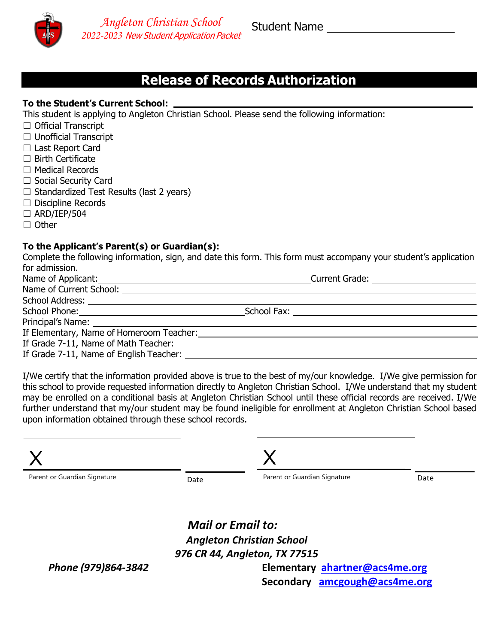

*Angleton Christian School 2022-2023* New Student Application Packet

Student Name

## **Release of Records Authorization**

#### **To the Student's Current School:**

This student is applying to Angleton Christian School. Please send the following information:

- ☐ Official Transcript
- ☐ Unofficial Transcript
- ☐ Last Report Card
- ☐ Birth Certificate
- ☐ Medical Records
- □ Social Security Card
- $\Box$  Standardized Test Results (last 2 years)
- ☐ Discipline Records
- $\Box$  ARD/IEP/504
- ☐ Other

#### **To the Applicant's Parent(s) or Guardian(s):**

Complete the following information, sign, and date this form. This form must accompany your student's application for admission.

| Name of Applicant: Name of Applicant:   | Current Grade: ________________________                                                                                                                                                                                        |  |
|-----------------------------------------|--------------------------------------------------------------------------------------------------------------------------------------------------------------------------------------------------------------------------------|--|
|                                         |                                                                                                                                                                                                                                |  |
|                                         |                                                                                                                                                                                                                                |  |
|                                         | School Fax: <u>_______________________</u>                                                                                                                                                                                     |  |
|                                         |                                                                                                                                                                                                                                |  |
|                                         | If Elementary, Name of Homeroom Teacher: Name of Alexander and Alexander and Alexander and Alexander and Alexander and Alexander and Alexander and Alexander and Alexander and Alexander and Alexander and Alexander and Alexa |  |
|                                         |                                                                                                                                                                                                                                |  |
| If Grade 7-11, Name of English Teacher: |                                                                                                                                                                                                                                |  |

I/We certify that the information provided above is true to the best of my/our knowledge. I/We give permission for this school to provide requested information directly to Angleton Christian School. I/We understand that my student may be enrolled on a conditional basis at Angleton Christian School until these official records are received. I/We further understand that my/our student may be found ineligible for enrollment at Angleton Christian School based upon information obtained through these school records.

| Parent or Guardian Signature | Date | Parent or Guardian Signature | Date |
|------------------------------|------|------------------------------|------|

*Mail or Email to: Angleton Christian School 976 CR 44, Angleton, TX 77515*

*Phone (979)864-3842* **Elementary [ahartner@acs4me.org](mailto:ahartner@acs4me.org)**

**Secondary [amcgough@acs4me.org](mailto:amcgough@acs4me.org)**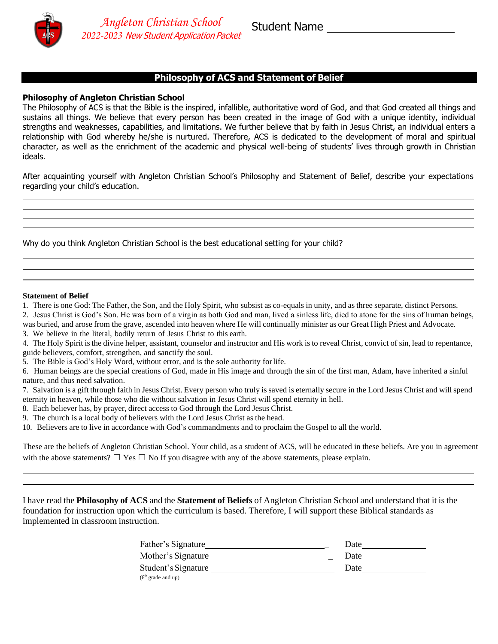

## **Philosophy of ACS and Statement of Belief**

#### **Philosophy of Angleton Christian School**

The Philosophy of ACS is that the Bible is the inspired, infallible, authoritative word of God, and that God created all things and sustains all things. We believe that every person has been created in the image of God with a unique identity, individual strengths and weaknesses, capabilities, and limitations. We further believe that by faith in Jesus Christ, an individual enters a relationship with God whereby he/she is nurtured. Therefore, ACS is dedicated to the development of moral and spiritual character, as well as the enrichment of the academic and physical well-being of students' lives through growth in Christian ideals.

After acquainting yourself with Angleton Christian School's Philosophy and Statement of Belief, describe your expectations regarding your child's education.

Why do you think Angleton Christian School is the best educational setting for your child?

#### **Statement of Belief**

1. There is one God: The Father, the Son, and the Holy Spirit, who subsist as co-equals in unity, and as three separate, distinct Persons.

2. Jesus Christ is God's Son. He was born of a virgin as both God and man, lived a sinless life, died to atone for the sins of human beings, was buried, and arose from the grave, ascended into heaven where He will continually minister as our Great High Priest and Advocate.

3. We believe in the literal, bodily return of Jesus Christ to this earth.

4. The Holy Spirit isthe divine helper, assistant, counselor and instructor and His work is to reveal Christ, convict of sin, lead to repentance, guide believers, comfort, strengthen, and sanctify the soul.

5. The Bible is God's Holy Word, without error, and is the sole authority forlife.

6. Human beings are the special creations of God, made in His image and through the sin of the first man, Adam, have inherited a sinful nature, and thus need salvation.

7. Salvation is a gift through faith in Jesus Christ. Every person who truly issaved is eternally secure in the Lord Jesus Christ and willspend eternity in heaven, while those who die without salvation in Jesus Christ will spend eternity in hell.

8. Each believer has, by prayer, direct access to God through the Lord Jesus Christ.

9. The church is a local body of believers with the Lord Jesus Christ as the head.

10. Believers are to live in accordance with God's commandments and to proclaim the Gospel to all the world.

These are the beliefs of Angleton Christian School. Your child, as a student of ACS, will be educated in these beliefs. Are you in agreement with the above statements?  $\Box$  Yes  $\Box$  No If you disagree with any of the above statements, please explain.

I have read the **Philosophy of ACS** and the **Statement of Beliefs** of Angleton Christian School and understand that it is the foundation for instruction upon which the curriculum is based. Therefore, I will support these Biblical standards as implemented in classroom instruction.

| Father's Signature           | Date |
|------------------------------|------|
| Mother's Signature           | Date |
| Student's Signature          | Date |
| $(6th \text{ grade and up})$ |      |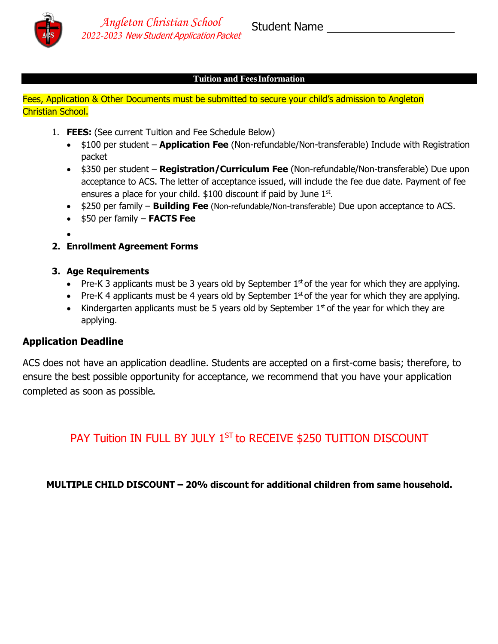

#### **Tuition and FeesInformation**

Fees, Application & Other Documents must be submitted to secure your child's admission to Angleton Christian School.

- 1. **FEES:** (See current Tuition and Fee Schedule Below)
	- \$100 per student **Application Fee** (Non-refundable/Non-transferable) Include with Registration packet
	- \$350 per student **Registration/Curriculum Fee** (Non-refundable/Non-transferable) Due upon acceptance to ACS. The letter of acceptance issued, will include the fee due date. Payment of fee ensures a place for your child.  $$100$  discount if paid by June  $1<sup>st</sup>$ .
	- \$250 per family **Building Fee** (Non-refundable/Non-transferable) Due upon acceptance to ACS.
	- \$50 per family **FACTS Fee**
	- •
- **2. Enrollment Agreement Forms**
- **3. Age Requirements**
	- Pre-K 3 applicants must be 3 years old by September  $1<sup>st</sup>$  of the year for which they are applying.
	- Pre-K 4 applicants must be 4 years old by September  $1<sup>st</sup>$  of the year for which they are applying.
	- Kindergarten applicants must be 5 years old by September  $1<sup>st</sup>$  of the year for which they are applying.

#### **Application Deadline**

ACS does not have an application deadline. Students are accepted on a first-come basis; therefore, to ensure the best possible opportunity for acceptance, we recommend that you have your application completed as soon as possible.

PAY Tuition IN FULL BY JULY 1<sup>ST</sup> to RECEIVE \$250 TUITION DISCOUNT

**MULTIPLE CHILD DISCOUNT – 20% discount for additional children from same household.**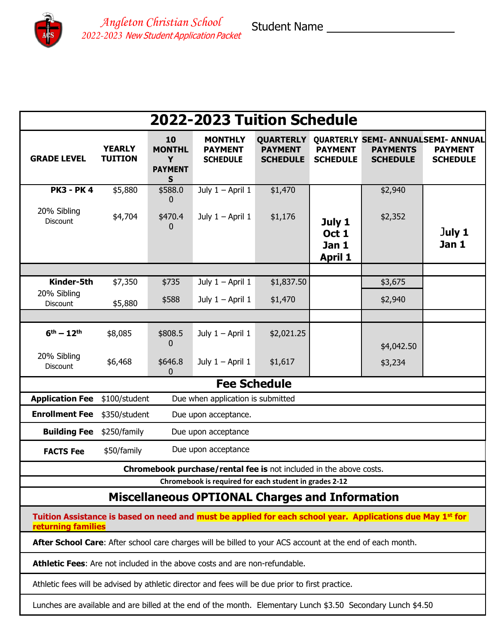Student Name



*Angleton Christian School 2022-2023* New Student Application Packet

**2022-2023 Tuition Schedule GRADE LEVEL YEARLY TUITION 10 MONTHL Y PAYMENT S MONTHLY PAYMENT SCHEDULE QUARTERLY PAYMENT SCHEDULE QUARTERLY SEMI- ANNUAL SEMI- ANNUAL PAYMENT SCHEDULE PAYMENTS SCHEDULE PAYMENT SCHEDULE PK3 - PK 4** \$5,880 \$588.0 0 July  $1 -$  April  $1 -$ \$1,470 **July 1 Oct 1 Jan 1 April 1** \$2,940 J**uly 1 Jan 1** 20% Sibling Discount \$4,704 \$470.4  $\Omega$ July 1 – April 1  $$1,176$   $\overline{)}$   $\overline{)}$   $\overline{)}$   $\overline{)}$   $\overline{)}$   $$2,352$ **Kinder-5th**  $$7,350$   $$735$  July 1 – April 1  $$1,837.50$   $\qquad$  \$3,675 20% Sibling  $\begin{array}{|l|l|}\nD is 5,880 & $588 \\
\hline\n3.600 & $5,880\n\end{array}$  = 1,470  $\begin{array}{|l|l|}\n\end{array}$  \$2,940 **6th – 12th** \$8,085 \$808.5  $\Omega$ July  $1 -$  April  $1 -$ \$2,021.25 \$4,042.50 \$3,234 20% Sibling  $D\%$  Sibility  $$6,468$   $$646.8$ 0 July  $1 -$  April  $1$  \$1,617 **Fee Schedule Application Fee** \$100/student Due when application is submitted **Enrollment Fee**  $$350/student$  Due upon acceptance. **Building Fee** \$250/family Due upon acceptance **FACTS** Fee  $$50/family$  Due upon acceptance **Chromebook purchase/rental fee is** not included in the above costs. **Chromebook is required for each student in grades 2-12 Miscellaneous OPTIONAL Charges and Information Tuition Assistance is based on need and must be applied for each school year. Applications due May 1st for returning families After School Care**: After school care charges will be billed to your ACS account at the end of each month. **Athletic Fees**: Are not included in the above costs and are non-refundable. Athletic fees will be advised by athletic director and fees will be due prior to first practice. Lunches are available and are billed at the end of the month. Elementary Lunch \$3.50 Secondary Lunch \$4.50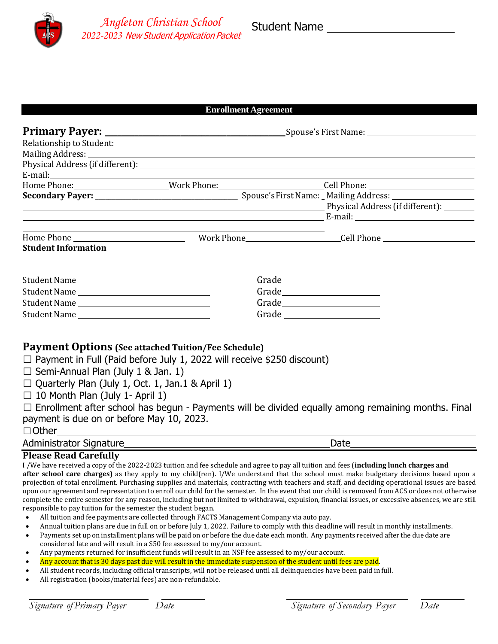

#### **Enrollment Agreement**

|                            |                   | Mailing Address: National Address: National Address: National Address: National Address: National Address: National Address: National Address: National Address: National Address: National Address: National Address: Nationa |
|----------------------------|-------------------|--------------------------------------------------------------------------------------------------------------------------------------------------------------------------------------------------------------------------------|
|                            |                   |                                                                                                                                                                                                                                |
|                            |                   |                                                                                                                                                                                                                                |
|                            |                   |                                                                                                                                                                                                                                |
|                            |                   |                                                                                                                                                                                                                                |
|                            |                   | Physical Address (if different): 1999. [19] Physical Address (if different):                                                                                                                                                   |
|                            |                   |                                                                                                                                                                                                                                |
|                            |                   |                                                                                                                                                                                                                                |
|                            |                   |                                                                                                                                                                                                                                |
| <b>Student Information</b> |                   |                                                                                                                                                                                                                                |
| Student Name               |                   |                                                                                                                                                                                                                                |
| Student Name               |                   |                                                                                                                                                                                                                                |
|                            | Grade Figure 2014 |                                                                                                                                                                                                                                |
|                            |                   |                                                                                                                                                                                                                                |

#### **Payment Options (See attached Tuition/Fee Schedule)**

 $\Box$  Payment in Full (Paid before July 1, 2022 will receive \$250 discount)

 $\Box$  Semi-Annual Plan (July 1 & Jan. 1)

 $\Box$  Quarterly Plan (July 1, Oct. 1, Jan.1 & April 1)

 $\Box$  10 Month Plan (July 1- April 1)

 $\Box$  Enrollment after school has begun - Payments will be divided equally among remaining months. Final payment is due on or before May 10, 2023.

#### ☐Other

#### Administrator Signature Date

#### **Please Read Carefully**

I /We have received a copy of the 2022-2023 tuition and fee schedule and agree to pay all tuition and fees (**including lunch charges and after school care charges)** as they apply to my child(ren). I/We understand that the school must make budgetary decisions based upon a projection of total enrollment. Purchasing supplies and materials, contracting with teachers and staff, and deciding operational issues are based upon our agreement and representation to enroll our child for the semester. In the event that our child is removed from ACS or does not otherwise complete the entire semester for any reason, including but not limited to withdrawal, expulsion, financial issues, or excessive absences, we are still responsible to pay tuition for the semester the student began.

- All tuition and fee payments are collected through FACTS Management Company via auto pay.
- Annual tuition plans are due in full on or before July 1, 2022. Failure to comply with this deadline will result in monthly installments.
- Payments set up on installment plans will be paid on or before the due date each month. Any payments received after the due date are considered late and will result in a \$50 fee assessed to my/our account.
- Any payments returned for insufficient funds will result in an NSF fee assessed to my/our account.
- Any account that is 30 days past due will result in the immediate suspension of the student until fees are paid.
- All student records, including official transcripts, will not be released until all delinquencies have been paid in full.
- All registration (books/material fees) are non-refundable.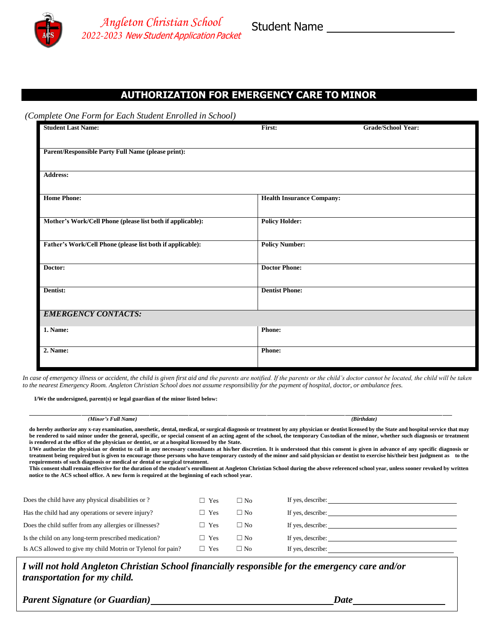

## **AUTHORIZATION FOR EMERGENCY CARE TO MINOR**

*(Complete One Form for Each Student Enrolled in School)*

| <b>Student Last Name:</b>                                  | First:                           | Grade/School Year: |
|------------------------------------------------------------|----------------------------------|--------------------|
|                                                            |                                  |                    |
| Parent/Responsible Party Full Name (please print):         |                                  |                    |
|                                                            |                                  |                    |
| <b>Address:</b>                                            |                                  |                    |
| <b>Home Phone:</b>                                         | <b>Health Insurance Company:</b> |                    |
|                                                            |                                  |                    |
| Mother's Work/Cell Phone (please list both if applicable): | <b>Policy Holder:</b>            |                    |
|                                                            |                                  |                    |
| Father's Work/Cell Phone (please list both if applicable): | <b>Policy Number:</b>            |                    |
|                                                            |                                  |                    |
| Doctor:                                                    | <b>Doctor Phone:</b>             |                    |
|                                                            |                                  |                    |
| Dentist:                                                   | <b>Dentist Phone:</b>            |                    |
| <b>EMERGENCY CONTACTS:</b>                                 |                                  |                    |
|                                                            |                                  |                    |
| 1. Name:                                                   | Phone:                           |                    |
| 2. Name:                                                   | <b>Phone:</b>                    |                    |
|                                                            |                                  |                    |

*In case of emergency illness or accident, the child is given first aid and the parents are notified. If the parents or the child's doctor cannot be located, the child will be taken* to the nearest Emergency Room. Angleton Christian School does not assume responsibility for the payment of hospital, doctor, or ambulance fees.

**I/We the undersigned, parent(s) or legal guardian of the minor listed below:**

| (Minor's Full Name)                                                                                                                                                                                                                                                           |            |              | (Birthdate)                                                                                                                                                                                                                                                                                                                                                                                                                                                                                                                                                                                                                                                                                                                                                                                                                                                                                                                                                       |  |  |
|-------------------------------------------------------------------------------------------------------------------------------------------------------------------------------------------------------------------------------------------------------------------------------|------------|--------------|-------------------------------------------------------------------------------------------------------------------------------------------------------------------------------------------------------------------------------------------------------------------------------------------------------------------------------------------------------------------------------------------------------------------------------------------------------------------------------------------------------------------------------------------------------------------------------------------------------------------------------------------------------------------------------------------------------------------------------------------------------------------------------------------------------------------------------------------------------------------------------------------------------------------------------------------------------------------|--|--|
| is rendered at the office of the physician or dentist, or at a hospital licensed by the State.<br>requirements of such diagnosis or medical or dental or surgical treatment.<br>notice to the ACS school office. A new form is required at the beginning of each school year. |            |              | do hereby authorize any x-ray examination, anesthetic, dental, medical, or surgical diagnosis or treatment by any physician or dentist licensed by the State and hospital service that may<br>be rendered to said minor under the general, specific, or special consent of an acting agent of the school, the temporary Custodian of the minor, whether such diagnosis or treatment<br>I/We authorize the physician or dentist to call in any necessary consultants at his/her discretion. It is understood that this consent is given in advance of any specific diagnosis or<br>treatment being required but is given to encourage those persons who have temporary custody of the minor and said physician or dentist to exercise his/their best judgment as to the<br>This consent shall remain effective for the duration of the student's enrollment at Angleton Christian School during the above referenced school year, unless sooner revoked by written |  |  |
| Does the child have any physical disabilities or ?                                                                                                                                                                                                                            | $\Box$ Yes | $\Box$ No    | If yes, describe:                                                                                                                                                                                                                                                                                                                                                                                                                                                                                                                                                                                                                                                                                                                                                                                                                                                                                                                                                 |  |  |
| Has the child had any operations or severe injury?                                                                                                                                                                                                                            | $\Box$ Yes | $\Box$ No    | If yes, describe:                                                                                                                                                                                                                                                                                                                                                                                                                                                                                                                                                                                                                                                                                                                                                                                                                                                                                                                                                 |  |  |
| Does the child suffer from any allergies or illnesses?                                                                                                                                                                                                                        | $\Box$ Yes | $\Box$ No    | If yes, describe:                                                                                                                                                                                                                                                                                                                                                                                                                                                                                                                                                                                                                                                                                                                                                                                                                                                                                                                                                 |  |  |
| Is the child on any long-term prescribed medication?                                                                                                                                                                                                                          | $\Box$ Yes | $\Box$ No    | If yes, describe:                                                                                                                                                                                                                                                                                                                                                                                                                                                                                                                                                                                                                                                                                                                                                                                                                                                                                                                                                 |  |  |
| Is ACS allowed to give my child Motrin or Tylenol for pain?                                                                                                                                                                                                                   | $\Box$ Yes | $\square$ No | If yes, describe:                                                                                                                                                                                                                                                                                                                                                                                                                                                                                                                                                                                                                                                                                                                                                                                                                                                                                                                                                 |  |  |

*I will not hold Angleton Christian School financially responsible for the emergency care and/or transportation for my child.*

*Parent Signature (or Guardian) Date*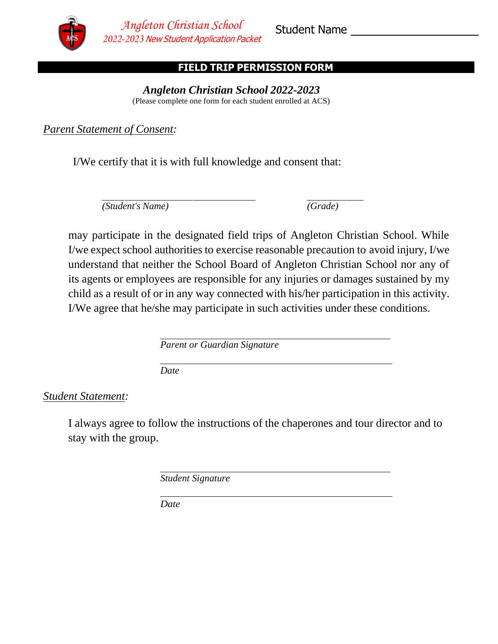

## **FIELD TRIP PERMISSION FORM**

*Angleton Christian School 2022-2023* (Please complete one form for each student enrolled at ACS)

*Parent Statement of Consent:*

I/We certify that it is with full knowledge and consent that:

*(Student's Name) (Grade)*

may participate in the designated field trips of Angleton Christian School. While I/we expect school authorities to exercise reasonable precaution to avoid injury, I/we understand that neither the School Board of Angleton Christian School nor any of its agents or employees are responsible for any injuries or damages sustained by my child as a result of or in any way connected with his/her participation in this activity. I/We agree that he/she may participate in such activities under these conditions.

*Parent or Guardian Signature*

*Date*

## *Student Statement:*

I always agree to follow the instructions of the chaperones and tour director and to stay with the group.

*Student Signature*

*Date*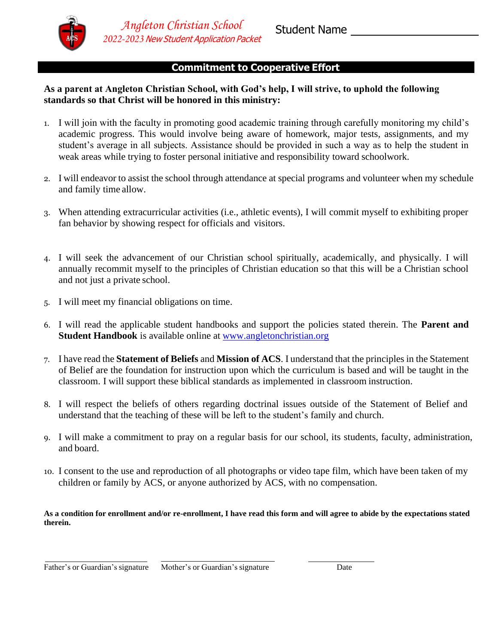

## **Commitment to Cooperative Effort**

#### **As a parent at Angleton Christian School, with God's help, I will strive, to uphold the following standards so that Christ will be honored in this ministry:**

- 1. I will join with the faculty in promoting good academic training through carefully monitoring my child's academic progress. This would involve being aware of homework, major tests, assignments, and my student's average in all subjects. Assistance should be provided in such a way as to help the student in weak areas while trying to foster personal initiative and responsibility toward schoolwork.
- 2. I will endeavor to assist the school through attendance at special programs and volunteer when my schedule and family time allow.
- 3. When attending extracurricular activities (i.e., athletic events), I will commit myself to exhibiting proper fan behavior by showing respect for officials and visitors.
- 4. I will seek the advancement of our Christian school spiritually, academically, and physically. I will annually recommit myself to the principles of Christian education so that this will be a Christian school and not just a private school.
- 5. I will meet my financial obligations on time.
- 6. I will read the applicable student handbooks and support the policies stated therein. The **Parent and Student Handbook** is available online at [www.angletonchristian.org](http://www.greenvillechristian.org/)
- 7. I have read the **Statement of Beliefs** and **Mission of ACS**. I understand that the principles in the Statement of Belief are the foundation for instruction upon which the curriculum is based and will be taught in the classroom. I will support these biblical standards as implemented in classroom instruction.
- 8. I will respect the beliefs of others regarding doctrinal issues outside of the Statement of Belief and understand that the teaching of these will be left to the student's family and church.
- 9. I will make a commitment to pray on a regular basis for our school, its students, faculty, administration, and board.
- 10. I consent to the use and reproduction of all photographs or video tape film, which have been taken of my children or family by ACS, or anyone authorized by ACS, with no compensation.

**As a condition for enrollment and/or re-enrollment, I have read this form and will agree to abide by the expectations stated therein.**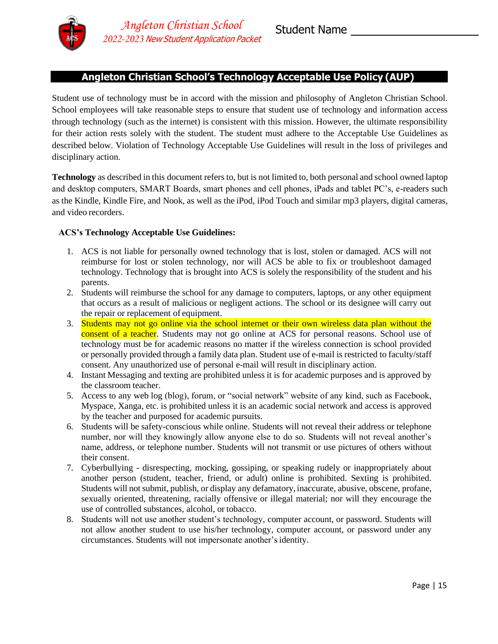

#### **Angleton Christian School's Technology Acceptable Use Policy (AUP)**

Student use of technology must be in accord with the mission and philosophy of Angleton Christian School. School employees will take reasonable steps to ensure that student use of technology and information access through technology (such as the internet) is consistent with this mission. However, the ultimate responsibility for their action rests solely with the student. The student must adhere to the Acceptable Use Guidelines as described below. Violation of Technology Acceptable Use Guidelines will result in the loss of privileges and disciplinary action.

**Technology** as described in this document refers to, but is not limited to, both personal and school owned laptop and desktop computers, SMART Boards, smart phones and cell phones, iPads and tablet PC's, e-readers such as the Kindle, Kindle Fire, and Nook, as well as the iPod, iPod Touch and similar mp3 players, digital cameras, and video recorders.

#### **ACS's Technology Acceptable Use Guidelines:**

- 1. ACS is not liable for personally owned technology that is lost, stolen or damaged. ACS will not reimburse for lost or stolen technology, nor will ACS be able to fix or troubleshoot damaged technology. Technology that is brought into ACS is solely the responsibility of the student and his parents.
- 2. Students will reimburse the school for any damage to computers, laptops, or any other equipment that occurs as a result of malicious or negligent actions. The school or its designee will carry out the repair or replacement of equipment.
- 3. Students may not go online via the school internet or their own wireless data plan without the consent of a teacher. Students may not go online at ACS for personal reasons. School use of technology must be for academic reasons no matter if the wireless connection is school provided or personally provided through a family data plan. Student use of e-mail is restricted to faculty/staff consent. Any unauthorized use of personal e-mail will result in disciplinary action.
- 4. Instant Messaging and texting are prohibited unless it is for academic purposes and is approved by the classroom teacher.
- 5. Access to any web log (blog), forum, or "social network" website of any kind, such as Facebook, Myspace, Xanga, etc. is prohibited unless it is an academic social network and access is approved by the teacher and purposed for academic pursuits.
- 6. Students will be safety-conscious while online. Students will not reveal their address or telephone number, nor will they knowingly allow anyone else to do so. Students will not reveal another's name, address, or telephone number. Students will not transmit or use pictures of others without their consent.
- 7. Cyberbullying disrespecting, mocking, gossiping, or speaking rudely or inappropriately about another person (student, teacher, friend, or adult) online is prohibited. Sexting is prohibited. Students will not submit, publish, or display any defamatory, inaccurate, abusive, obscene, profane, sexually oriented, threatening, racially offensive or illegal material; nor will they encourage the use of controlled substances, alcohol, or tobacco.
- 8. Students will not use another student's technology, computer account, or password. Students will not allow another student to use his/her technology, computer account, or password under any circumstances. Students will not impersonate another'sidentity.